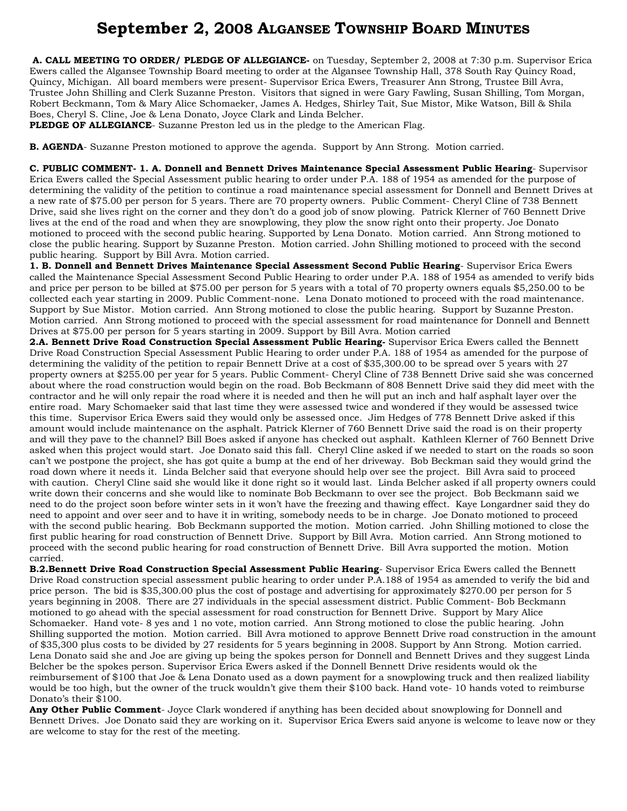# **September 2, 2008 ALGANSEE TOWNSHIP BOARD MINUTES**

 **A. CALL MEETING TO ORDER/ PLEDGE OF ALLEGIANCE-** on Tuesday, September 2, 2008 at 7:30 p.m. Supervisor Erica Ewers called the Algansee Township Board meeting to order at the Algansee Township Hall, 378 South Ray Quincy Road, Quincy, Michigan. All board members were present- Supervisor Erica Ewers, Treasurer Ann Strong, Trustee Bill Avra, Trustee John Shilling and Clerk Suzanne Preston. Visitors that signed in were Gary Fawling, Susan Shilling, Tom Morgan, Robert Beckmann, Tom & Mary Alice Schomaeker, James A. Hedges, Shirley Tait, Sue Mistor, Mike Watson, Bill & Shila Boes, Cheryl S. Cline, Joe & Lena Donato, Joyce Clark and Linda Belcher.

**PLEDGE OF ALLEGIANCE**- Suzanne Preston led us in the pledge to the American Flag.

**B. AGENDA**- Suzanne Preston motioned to approve the agenda. Support by Ann Strong. Motion carried.

**C. PUBLIC COMMENT- 1. A. Donnell and Bennett Drives Maintenance Special Assessment Public Hearing**- Supervisor Erica Ewers called the Special Assessment public hearing to order under P.A. 188 of 1954 as amended for the purpose of determining the validity of the petition to continue a road maintenance special assessment for Donnell and Bennett Drives at a new rate of \$75.00 per person for 5 years. There are 70 property owners. Public Comment- Cheryl Cline of 738 Bennett Drive, said she lives right on the corner and they don't do a good job of snow plowing. Patrick Klerner of 760 Bennett Drive lives at the end of the road and when they are snowplowing, they plow the snow right onto their property. Joe Donato motioned to proceed with the second public hearing. Supported by Lena Donato. Motion carried. Ann Strong motioned to close the public hearing. Support by Suzanne Preston. Motion carried. John Shilling motioned to proceed with the second public hearing. Support by Bill Avra. Motion carried.

**1. B. Donnell and Bennett Drives Maintenance Special Assessment Second Public Hearing**- Supervisor Erica Ewers called the Maintenance Special Assessment Second Public Hearing to order under P.A. 188 of 1954 as amended to verify bids and price per person to be billed at \$75.00 per person for 5 years with a total of 70 property owners equals \$5,250.00 to be collected each year starting in 2009. Public Comment-none. Lena Donato motioned to proceed with the road maintenance. Support by Sue Mistor. Motion carried. Ann Strong motioned to close the public hearing. Support by Suzanne Preston. Motion carried. Ann Strong motioned to proceed with the special assessment for road maintenance for Donnell and Bennett Drives at \$75.00 per person for 5 years starting in 2009. Support by Bill Avra. Motion carried

**2.A. Bennett Drive Road Construction Special Assessment Public Hearing-** Supervisor Erica Ewers called the Bennett Drive Road Construction Special Assessment Public Hearing to order under P.A. 188 of 1954 as amended for the purpose of determining the validity of the petition to repair Bennett Drive at a cost of \$35,300.00 to be spread over 5 years with 27 property owners at \$255.00 per year for 5 years. Public Comment- Cheryl Cline of 738 Bennett Drive said she was concerned about where the road construction would begin on the road. Bob Beckmann of 808 Bennett Drive said they did meet with the contractor and he will only repair the road where it is needed and then he will put an inch and half asphalt layer over the entire road. Mary Schomaeker said that last time they were assessed twice and wondered if they would be assessed twice this time. Supervisor Erica Ewers said they would only be assessed once. Jim Hedges of 778 Bennett Drive asked if this amount would include maintenance on the asphalt. Patrick Klerner of 760 Bennett Drive said the road is on their property and will they pave to the channel? Bill Boes asked if anyone has checked out asphalt. Kathleen Klerner of 760 Bennett Drive asked when this project would start. Joe Donato said this fall. Cheryl Cline asked if we needed to start on the roads so soon can't we postpone the project, she has got quite a bump at the end of her driveway. Bob Beckman said they would grind the road down where it needs it. Linda Belcher said that everyone should help over see the project. Bill Avra said to proceed with caution. Cheryl Cline said she would like it done right so it would last. Linda Belcher asked if all property owners could write down their concerns and she would like to nominate Bob Beckmann to over see the project. Bob Beckmann said we need to do the project soon before winter sets in it won't have the freezing and thawing effect. Kaye Longardner said they do need to appoint and over seer and to have it in writing, somebody needs to be in charge. Joe Donato motioned to proceed with the second public hearing. Bob Beckmann supported the motion. Motion carried. John Shilling motioned to close the first public hearing for road construction of Bennett Drive. Support by Bill Avra. Motion carried. Ann Strong motioned to proceed with the second public hearing for road construction of Bennett Drive. Bill Avra supported the motion. Motion carried.

**B.2.Bennett Drive Road Construction Special Assessment Public Hearing**- Supervisor Erica Ewers called the Bennett Drive Road construction special assessment public hearing to order under P.A.188 of 1954 as amended to verify the bid and price person. The bid is \$35,300.00 plus the cost of postage and advertising for approximately \$270.00 per person for 5 years beginning in 2008. There are 27 individuals in the special assessment district. Public Comment- Bob Beckmann motioned to go ahead with the special assessment for road construction for Bennett Drive. Support by Mary Alice Schomaeker. Hand vote- 8 yes and 1 no vote, motion carried. Ann Strong motioned to close the public hearing. John Shilling supported the motion. Motion carried. Bill Avra motioned to approve Bennett Drive road construction in the amount of \$35,300 plus costs to be divided by 27 residents for 5 years beginning in 2008. Support by Ann Strong. Motion carried. Lena Donato said she and Joe are giving up being the spokes person for Donnell and Bennett Drives and they suggest Linda Belcher be the spokes person. Supervisor Erica Ewers asked if the Donnell Bennett Drive residents would ok the reimbursement of \$100 that Joe & Lena Donato used as a down payment for a snowplowing truck and then realized liability would be too high, but the owner of the truck wouldn't give them their \$100 back. Hand vote- 10 hands voted to reimburse Donato's their \$100.

**Any Other Public Comment**- Joyce Clark wondered if anything has been decided about snowplowing for Donnell and Bennett Drives. Joe Donato said they are working on it. Supervisor Erica Ewers said anyone is welcome to leave now or they are welcome to stay for the rest of the meeting.